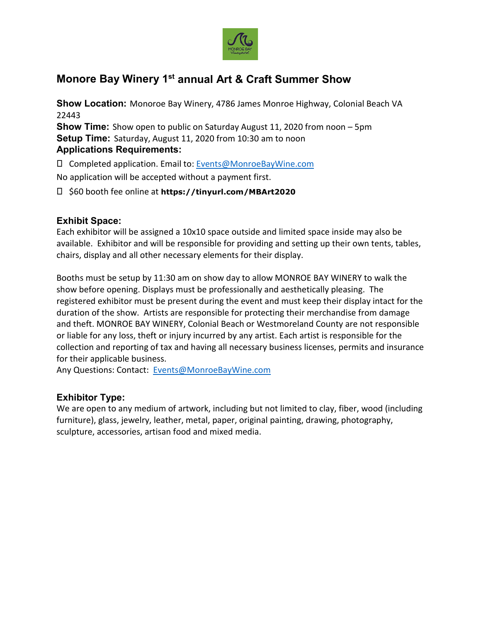

# **Monore Bay Winery 1st annual Art & Craft Summer Show**

**Show Location:** Monoroe Bay Winery, 4786 James Monroe Highway, Colonial Beach VA 22443

**Show Time:** Show open to public on Saturday August 11, 2020 from noon – 5pm **Setup Time:** Saturday, August 11, 2020 from 10:30 am to noon **Applications Requirements:**

Completed application. Email to: [Events@MonroeBayWine.com](mailto:Events@MonroeBayWine.com)

No application will be accepted without a payment first.

\$60 booth fee online at **https://tinyurl.com/MBArt2020**

## **Exhibit Space:**

Each exhibitor will be assigned a 10x10 space outside and limited space inside may also be available. Exhibitor and will be responsible for providing and setting up their own tents, tables, chairs, display and all other necessary elements for their display.

Booths must be setup by 11:30 am on show day to allow MONROE BAY WINERY to walk the show before opening. Displays must be professionally and aesthetically pleasing. The registered exhibitor must be present during the event and must keep their display intact for the duration of the show. Artists are responsible for protecting their merchandise from damage and theft. MONROE BAY WINERY, Colonial Beach or Westmoreland County are not responsible or liable for any loss, theft or injury incurred by any artist. Each artist is responsible for the collection and reporting of tax and having all necessary business licenses, permits and insurance for their applicable business.

Any Questions: Contact: [Events@MonroeBayWine.com](mailto:Events@MonroeBayWine.com)

## **Exhibitor Type:**

We are open to any medium of artwork, including but not limited to clay, fiber, wood (including furniture), glass, jewelry, leather, metal, paper, original painting, drawing, photography, sculpture, accessories, artisan food and mixed media.